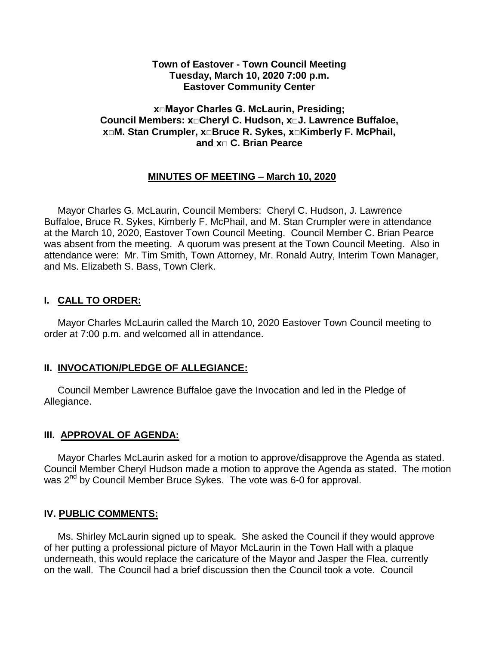#### **Town of Eastover - Town Council Meeting Tuesday, March 10, 2020 7:00 p.m. Eastover Community Center**

#### **x□Mayor Charles G. McLaurin, Presiding; Council Members: x□Cheryl C. Hudson, x□J. Lawrence Buffaloe, x□M. Stan Crumpler, x□Bruce R. Sykes, x□Kimberly F. McPhail, and x□ C. Brian Pearce**

#### **MINUTES OF MEETING – March 10, 2020**

 Mayor Charles G. McLaurin, Council Members: Cheryl C. Hudson, J. Lawrence Buffaloe, Bruce R. Sykes, Kimberly F. McPhail, and M. Stan Crumpler were in attendance at the March 10, 2020, Eastover Town Council Meeting. Council Member C. Brian Pearce was absent from the meeting. A quorum was present at the Town Council Meeting. Also in attendance were: Mr. Tim Smith, Town Attorney, Mr. Ronald Autry, Interim Town Manager, and Ms. Elizabeth S. Bass, Town Clerk.

### **I. CALL TO ORDER:**

 Mayor Charles McLaurin called the March 10, 2020 Eastover Town Council meeting to order at 7:00 p.m. and welcomed all in attendance.

### **II. INVOCATION/PLEDGE OF ALLEGIANCE:**

 Council Member Lawrence Buffaloe gave the Invocation and led in the Pledge of Allegiance.

#### **III. APPROVAL OF AGENDA:**

 Mayor Charles McLaurin asked for a motion to approve/disapprove the Agenda as stated. Council Member Cheryl Hudson made a motion to approve the Agenda as stated. The motion was 2<sup>nd</sup> by Council Member Bruce Sykes. The vote was 6-0 for approval.

#### **IV. PUBLIC COMMENTS:**

 Ms. Shirley McLaurin signed up to speak. She asked the Council if they would approve of her putting a professional picture of Mayor McLaurin in the Town Hall with a plaque underneath, this would replace the caricature of the Mayor and Jasper the Flea, currently on the wall. The Council had a brief discussion then the Council took a vote. Council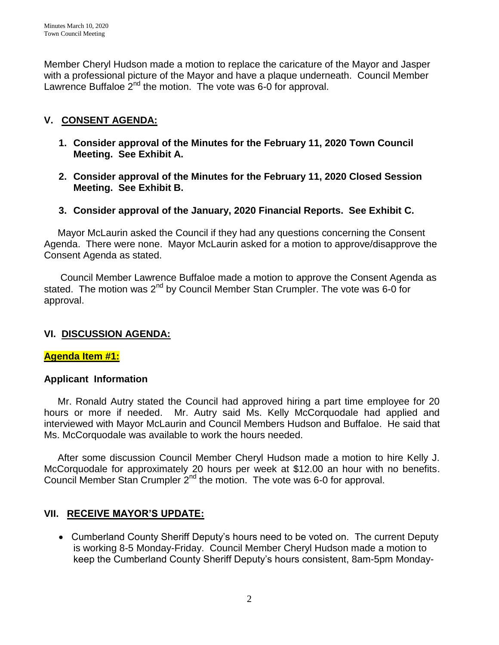Member Cheryl Hudson made a motion to replace the caricature of the Mayor and Jasper with a professional picture of the Mayor and have a plaque underneath. Council Member Lawrence Buffaloe  $2^{nd}$  the motion. The vote was 6-0 for approval.

### **V. CONSENT AGENDA:**

- **1. Consider approval of the Minutes for the February 11, 2020 Town Council Meeting. See Exhibit A.**
- **2. Consider approval of the Minutes for the February 11, 2020 Closed Session Meeting. See Exhibit B.**
- **3. Consider approval of the January, 2020 Financial Reports. See Exhibit C.**

 Mayor McLaurin asked the Council if they had any questions concerning the Consent Agenda. There were none. Mayor McLaurin asked for a motion to approve/disapprove the Consent Agenda as stated.

 Council Member Lawrence Buffaloe made a motion to approve the Consent Agenda as stated. The motion was  $2^{nd}$  by Council Member Stan Crumpler. The vote was 6-0 for approval.

### **VI. DISCUSSION AGENDA:**

### **Agenda Item #1:**

### **Applicant Information**

 Mr. Ronald Autry stated the Council had approved hiring a part time employee for 20 hours or more if needed. Mr. Autry said Ms. Kelly McCorquodale had applied and interviewed with Mayor McLaurin and Council Members Hudson and Buffaloe. He said that Ms. McCorquodale was available to work the hours needed.

 After some discussion Council Member Cheryl Hudson made a motion to hire Kelly J. McCorquodale for approximately 20 hours per week at \$12.00 an hour with no benefits. Council Member Stan Crumpler  $2^{nd}$  the motion. The vote was 6-0 for approval.

### **VII. RECEIVE MAYOR'S UPDATE:**

 Cumberland County Sheriff Deputy's hours need to be voted on. The current Deputy is working 8-5 Monday-Friday. Council Member Cheryl Hudson made a motion to keep the Cumberland County Sheriff Deputy's hours consistent, 8am-5pm Monday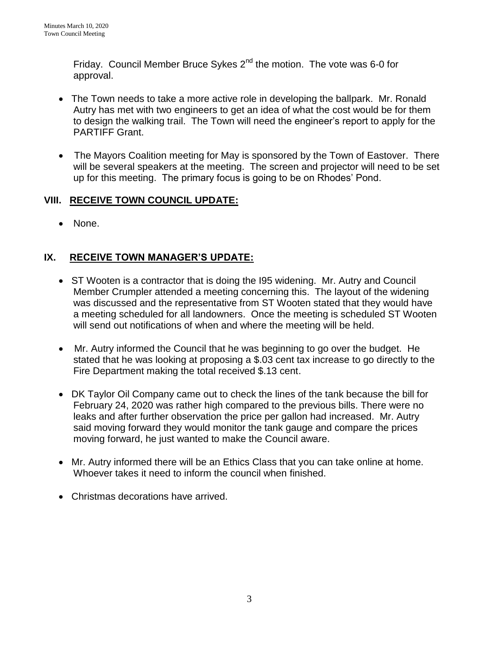Friday. Council Member Bruce Sykes 2<sup>nd</sup> the motion. The vote was 6-0 for approval.

- The Town needs to take a more active role in developing the ballpark. Mr. Ronald Autry has met with two engineers to get an idea of what the cost would be for them to design the walking trail. The Town will need the engineer's report to apply for the PARTIFF Grant.
- The Mayors Coalition meeting for May is sponsored by the Town of Eastover. There will be several speakers at the meeting. The screen and projector will need to be set up for this meeting. The primary focus is going to be on Rhodes' Pond.

## **VIII. RECEIVE TOWN COUNCIL UPDATE:**

• None.

# **IX. RECEIVE TOWN MANAGER'S UPDATE:**

- ST Wooten is a contractor that is doing the I95 widening. Mr. Autry and Council Member Crumpler attended a meeting concerning this. The layout of the widening was discussed and the representative from ST Wooten stated that they would have a meeting scheduled for all landowners. Once the meeting is scheduled ST Wooten will send out notifications of when and where the meeting will be held.
- Mr. Autry informed the Council that he was beginning to go over the budget. He stated that he was looking at proposing a \$.03 cent tax increase to go directly to the Fire Department making the total received \$.13 cent.
- DK Taylor Oil Company came out to check the lines of the tank because the bill for February 24, 2020 was rather high compared to the previous bills. There were no leaks and after further observation the price per gallon had increased. Mr. Autry said moving forward they would monitor the tank gauge and compare the prices moving forward, he just wanted to make the Council aware.
- Mr. Autry informed there will be an Ethics Class that you can take online at home. Whoever takes it need to inform the council when finished.
- Christmas decorations have arrived.